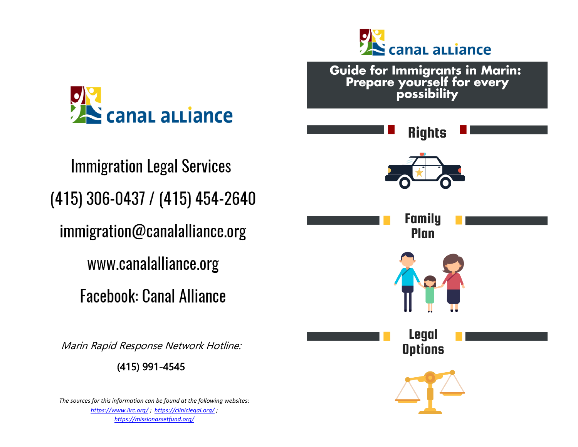

**Immigration Legal Services** (415) 306-0437 / (415) 454-2640 immigration@canalalliance.org www.canalalliance.org **Facebook: Canal Alliance** 

Marin Rapid Response Network Hotline:

(415) 991-4545

*The sources for this information can be found at the following websites: <https://www.ilrc.org/> ; <https://cliniclegal.org/> ; <https://missionassetfund.org/>*

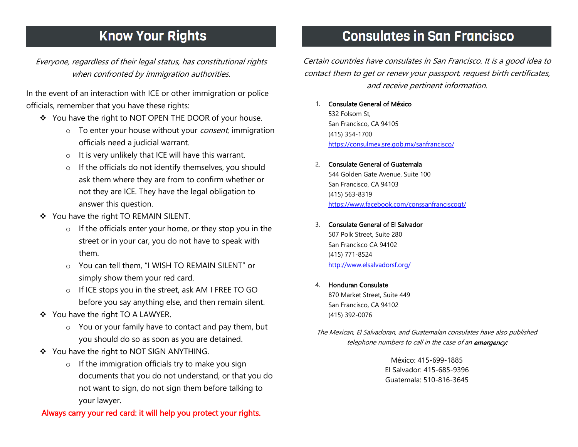# **Know Your Rights**

Everyone, regardless of their legal status, has constitutional rights when confronted by immigration authorities.

In the event of an interaction with ICE or other immigration or police officials, remember that you have these rights:

- You have the right to NOT OPEN THE DOOR of your house.
	- $\circ$  To enter your house without your *consent*, immigration officials need a judicial warrant.
	- o It is very unlikely that ICE will have this warrant.
	- o If the officials do not identify themselves, you should ask them where they are from to confirm whether or not they are ICE. They have the legal obligation to answer this question.
- ❖ You have the right TO REMAIN SILENT.
	- o If the officials enter your home, or they stop you in the street or in your car, you do not have to speak with them.
	- o You can tell them, "I WISH TO REMAIN SILENT" or simply show them your red card.
	- o If ICE stops you in the street, ask AM I FREE TO GO before you say anything else, and then remain silent.
- You have the right TO A LAWYER.
	- o You or your family have to contact and pay them, but you should do so as soon as you are detained.
- ◆ You have the right to NOT SIGN ANYTHING.
	- o If the immigration officials try to make you sign documents that you do not understand, or that you do not want to sign, do not sign them before talking to your lawyer.

### (415) 354-1700 <https://consulmex.sre.gob.mx/sanfrancisco/>

2. Consulate General of Guatemala

1. Consulate General of México

San Francisco, CA 94105

532 Folsom St,

544 Golden Gate Avenue, Suite 100 San Francisco, CA 94103 (415) 563-8319 <https://www.facebook.com/conssanfranciscogt/>

Certain countries have consulates in San Francisco. It is a good idea to contact them to get or renew your passport, request birth certificates, and receive pertinent information.

**Consulates in San Francisco** 

- 3. Consulate General of El Salvador 507 Polk Street, Suite 280 San Francisco CA 94102 (415) 771-8524 <http://www.elsalvadorsf.org/>
- 4. Honduran Consulate

870 Market Street, Suite 449 San Francisco, CA 94102 (415) 392-0076

The Mexican, El Salvadoran, and Guatemalan consulates have also published telephone numbers to call in the case of an emergency:

> México: 415-699-1885 El Salvador: 415-685-9396 Guatemala: 510-816-3645

Always carry your red card: it will help you protect your rights.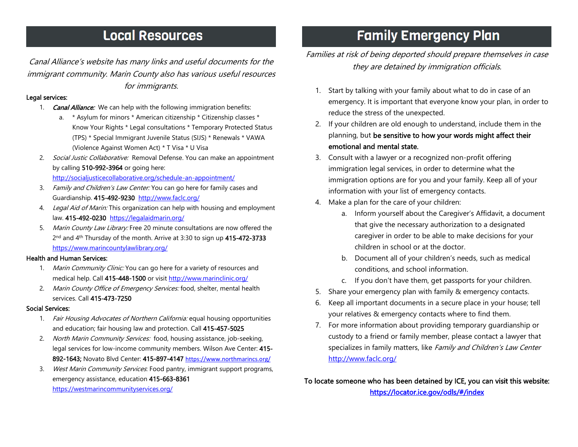## **Local Resources**

Canal Alliance's website has many links and useful documents for the immigrant community. Marin County also has various useful resources for immigrants.

### Legal services:

- 1. **Canal Alliance:** We can help with the following immigration benefits:
	- a. \* Asylum for minors \* American citizenship \* Citizenship classes \* Know Your Rights \* Legal consultations \* Temporary Protected Status (TPS) \* Special Immigrant Juvenile Status (SIJS) \* Renewals \* VAWA (Violence Against Women Act) \* T Visa \* U Visa
- 2. Social Justic Collaborative: Removal Defense. You can make an appointment by calling 510-992-3964 or going here: <http://socialjusticecollaborative.org/schedule-an-appointment/>
- 3. Family and Children's Law Center: You can go here for family cases and Guardianship. 415-492-9230 <http://www.faclc.org/>
- 4. Legal Aid of Marin: This organization can help with housing and employment law. 415-492-0230 <https://legalaidmarin.org/>
- 5. Marin County Law Library: Free 20 minute consultations are now offered the 2<sup>nd</sup> and 4<sup>th</sup> Thursday of the month. Arrive at 3:30 to sign up 415-472-3733 <https://www.marincountylawlibrary.org/>

#### Health and Human Services:

- 1. Marin Community Clinic: You can go here for a variety of resources and medical help. Call 415-448-1500 or visit <http://www.marinclinic.org/>
- 2. Marin County Office of Emergency Services: food, shelter, mental health services. Call 415-473-7250

#### Social Services:

- 1. Fair Housing Advocates of Northern California: equal housing opportunities and education; fair housing law and protection. Call 415-457-5025
- 2. North Marin Community Services: food, housing assistance, job-seeking, legal services for low-income community members. Wilson Ave Center: 415- 892-1643; Novato Blvd Center: 415-897-4147 <https://www.northmarincs.org/>
- 3. West Marin Community Services: Food pantry, immigrant support programs, emergency assistance, education 415-663-8361 <https://westmarincommunityservices.org/>

# **Family Emergency Plan**

### Families at risk of being deported should prepare themselves in case they are detained by immigration officials.

- 1. Start by talking with your family about what to do in case of an emergency. It is important that everyone know your plan, in order to reduce the stress of the unexpected.
- 2. If your children are old enough to understand, include them in the planning, but be sensitive to how your words might affect their emotional and mental state.
- 3. Consult with a lawyer or a recognized non-profit offering immigration legal services, in order to determine what the immigration options are for you and your family. Keep all of your information with your list of emergency contacts.
- 4. Make a plan for the care of your children:
	- a. Inform yourself about the Caregiver's Affidavit, a document that give the necessary authorization to a designated caregiver in order to be able to make decisions for your children in school or at the doctor.
	- b. Document all of your children's needs, such as medical conditions, and school information.
	- c. If you don't have them, get passports for your children.
- 5. Share your emergency plan with family & emergency contacts.
- 6. Keep all important documents in a secure place in your house; tell your relatives & emergency contacts where to find them.
- 7. For more information about providing temporary guardianship or custody to a friend or family member, please contact a lawyer that specializes in family matters, like Family and Children's Law Center <http://www.faclc.org/>

To locate someone who has been detained by ICE, you can visit this website: <https://locator.ice.gov/odls/#/index>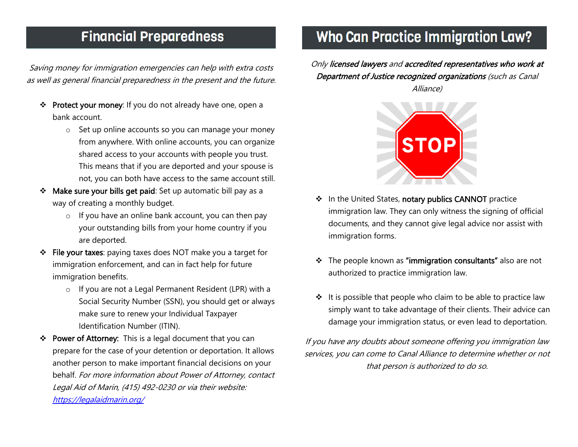## **Financial Preparedness**

Saving money for immigration emergencies can help with extra costs as well as general financial preparedness in the present and the future.

- \* Protect your money: If you do not already have one, open a bank account.
	- o Set up online accounts so you can manage your money from anywhere. With online accounts, you can organize shared access to your accounts with people you trust. This means that if you are deported and your spouse is not, you can both have access to the same account still.
- Make sure your bills get paid: Set up automatic bill pay as a way of creating a monthly budget.
	- o If you have an online bank account, you can then pay your outstanding bills from your home country if you are deported.
- File your taxes: paying taxes does NOT make you a target for immigration enforcement, and can in fact help for future immigration benefits.
	- o If you are not a Legal Permanent Resident (LPR) with a Social Security Number (SSN), you should get or always make sure to renew your Individual Taxpayer Identification Number (ITIN).
- ❖ Power of Attorney: This is a legal document that you can prepare for the case of your detention or deportation. It allows another person to make important financial decisions on your behalf. For more information about Power of Attorney, contact Legal Aid of Marin, (415) 492-0230 or via their website: <https://legalaidmarin.org/>

# **Who Can Practice Immigration Law?**

Only licensed lawyers and accredited representatives who work at Department of Justice recognized organizations (such as Canal Alliance)



- ❖ In the United States, notary publics CANNOT practice immigration law. They can only witness the signing of official documents, and they cannot give legal advice nor assist with immigration forms.
- \* The people known as "immigration consultants" also are not authorized to practice immigration law.
- $\div$  It is possible that people who claim to be able to practice law simply want to take advantage of their clients. Their advice can damage your immigration status, or even lead to deportation.

If you have any doubts about someone offering you immigration law services, you can come to Canal Alliance to determine whether or not that person is authorized to do so.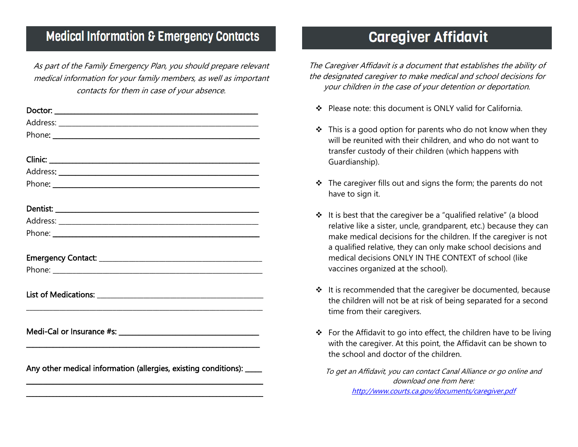## **Medical Information & Emergency Contacts**

As part of the Family Emergency Plan, you should prepare relevant medical information for your family members, as well as important contacts for them in case of your absence.

| Phone: <u>www.communications.com</u>                                  |  |
|-----------------------------------------------------------------------|--|
|                                                                       |  |
|                                                                       |  |
|                                                                       |  |
|                                                                       |  |
|                                                                       |  |
|                                                                       |  |
|                                                                       |  |
|                                                                       |  |
|                                                                       |  |
|                                                                       |  |
|                                                                       |  |
| Any other medical information (allergies, existing conditions): _____ |  |
|                                                                       |  |

# **Caregiver Affidavit**

The Caregiver Affidavit is a document that establishes the ability of the designated caregiver to make medical and school decisions for your children in the case of your detention or deportation.

- ❖ Please note: this document is ONLY valid for California.
- $\cdot \cdot$  This is a good option for parents who do not know when they will be reunited with their children, and who do not want to transfer custody of their children (which happens with Guardianship).
- $\cdot \cdot$  The caregiver fills out and signs the form; the parents do not have to sign it.
- $\div$  It is best that the caregiver be a "qualified relative" (a blood relative like a sister, uncle, grandparent, etc.) because they can make medical decisions for the children. If the caregiver is not a qualified relative, they can only make school decisions and medical decisions ONLY IN THE CONTEXT of school (like vaccines organized at the school).
- $\div$  It is recommended that the caregiver be documented, because the children will not be at risk of being separated for a second time from their caregivers.
- $\div$  For the Affidavit to go into effect, the children have to be living with the caregiver. At this point, the Affidavit can be shown to the school and doctor of the children.

To get an Affidavit, you can contact Canal Alliance or go online and download one from here: <http://www.courts.ca.gov/documents/caregiver.pdf>